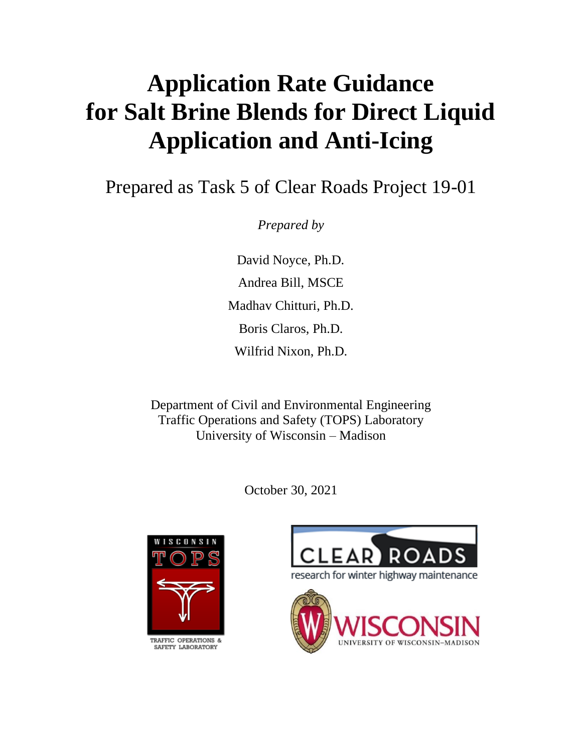# **Application Rate Guidance for Salt Brine Blends for Direct Liquid Application and Anti-Icing**

Prepared as Task 5 of Clear Roads Project 19-01

*Prepared by*

David Noyce, Ph.D. Andrea Bill, MSCE Madhav Chitturi, Ph.D. Boris Claros, Ph.D. Wilfrid Nixon, Ph.D.

Department of Civil and Environmental Engineering Traffic Operations and Safety (TOPS) Laboratory University of Wisconsin – Madison

October 30, 2021



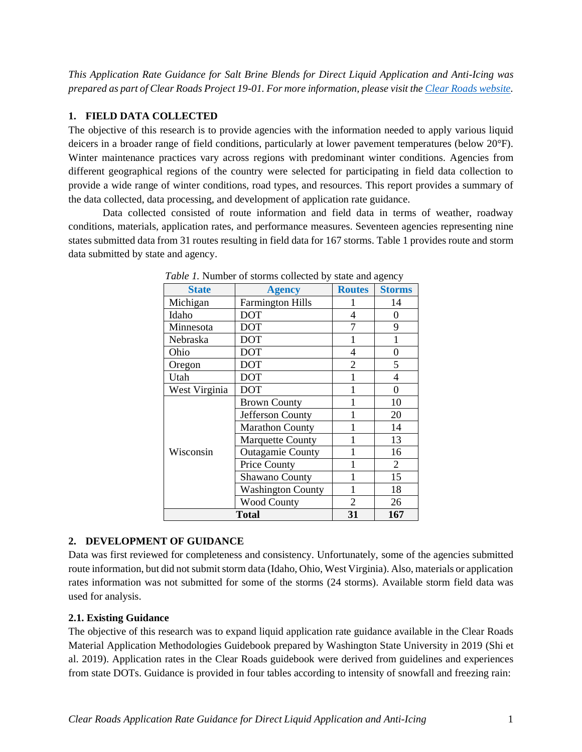*This Application Rate Guidance for Salt Brine Blends for Direct Liquid Application and Anti-Icing was prepared as part of Clear Roads Project 19-01. For more information, please visit th[e Clear Roads website.](https://clearroads.org/project/19-01/)*

## **1. FIELD DATA COLLECTED**

The objective of this research is to provide agencies with the information needed to apply various liquid deicers in a broader range of field conditions, particularly at lower pavement temperatures (below 20°F). Winter maintenance practices vary across regions with predominant winter conditions. Agencies from different geographical regions of the country were selected for participating in field data collection to provide a wide range of winter conditions, road types, and resources. This report provides a summary of the data collected, data processing, and development of application rate guidance.

Data collected consisted of route information and field data in terms of weather, roadway conditions, materials, application rates, and performance measures. Seventeen agencies representing nine states submitted data from 31 routes resulting in field data for 167 storms. Table 1 provides route and storm data submitted by state and agency.

| <b>State</b>  | <b>Agency</b>            | <b>Routes</b>  | <b>Storms</b>  |
|---------------|--------------------------|----------------|----------------|
| Michigan      | <b>Farmington Hills</b>  |                | 14             |
| Idaho         | <b>DOT</b>               | 4              | 0              |
| Minnesota     | <b>DOT</b>               | 7              | 9              |
| Nebraska      | <b>DOT</b>               |                | 1              |
| Ohio          | <b>DOT</b>               | $\overline{4}$ | $\overline{0}$ |
| Oregon        | <b>DOT</b>               | 2              | 5              |
| Utah          | <b>DOT</b>               |                | 4              |
| West Virginia | <b>DOT</b>               |                | 0              |
|               | <b>Brown County</b>      |                | 10             |
|               | Jefferson County         |                | 20             |
|               | <b>Marathon County</b>   |                | 14             |
|               | <b>Marquette County</b>  |                | 13             |
| Wisconsin     | <b>Outagamie County</b>  |                | 16             |
|               | Price County             |                | 2              |
|               | <b>Shawano County</b>    |                | 15             |
|               | <b>Washington County</b> |                | 18             |
|               | <b>Wood County</b>       | $\overline{2}$ | 26             |
|               | <b>Total</b>             | 31             | 167            |

*Table 1.* Number of storms collected by state and agency

## **2. DEVELOPMENT OF GUIDANCE**

Data was first reviewed for completeness and consistency. Unfortunately, some of the agencies submitted route information, but did not submit storm data (Idaho, Ohio, West Virginia). Also, materials or application rates information was not submitted for some of the storms (24 storms). Available storm field data was used for analysis.

## **2.1. Existing Guidance**

The objective of this research was to expand liquid application rate guidance available in the Clear Roads Material Application Methodologies Guidebook prepared by Washington State University in 2019 (Shi et al. 2019). Application rates in the Clear Roads guidebook were derived from guidelines and experiences from state DOTs. Guidance is provided in four tables according to intensity of snowfall and freezing rain: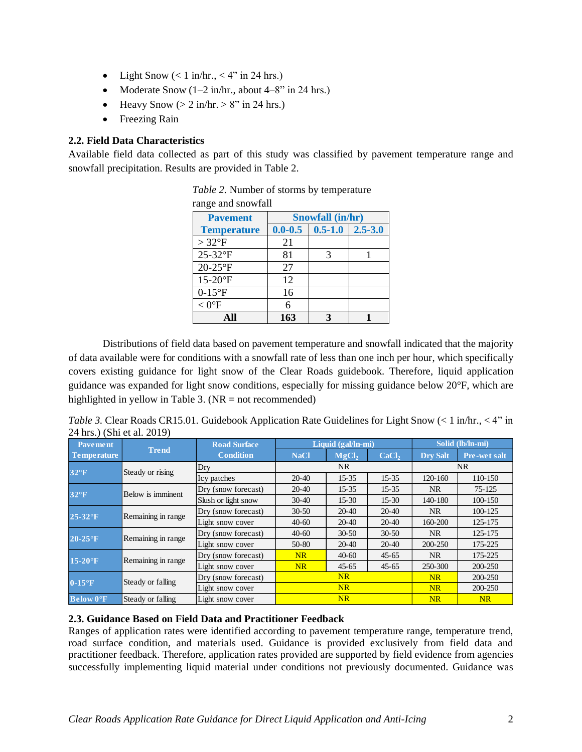- Light Snow  $(< 1$  in/hr.,  $< 4$ " in 24 hrs.)
- Moderate Snow  $(1-2 \text{ in/hr.}, \text{ about } 4-8$ " in 24 hrs.)
- Heavy Snow  $(> 2 \text{ in/hr.} > 8" \text{ in } 24 \text{ hrs.})$
- Freezing Rain

## **2.2. Field Data Characteristics**

Available field data collected as part of this study was classified by pavement temperature range and snowfall precipitation. Results are provided in Table 2.

| <b>Pavement</b>    |             | Snowfall (in/hr) |             |  |  |  |  |
|--------------------|-------------|------------------|-------------|--|--|--|--|
| <b>Temperature</b> | $0.0 - 0.5$ | $0.5 - 1.0$      | $2.5 - 3.0$ |  |  |  |  |
| $>32^{\circ}F$     | 21          |                  |             |  |  |  |  |
| 25-32°F            | 81          |                  |             |  |  |  |  |
| $20-25$ °F         | 27          |                  |             |  |  |  |  |
| 15-20°F            | 12          |                  |             |  |  |  |  |
| $0-15$ °F          | 16          |                  |             |  |  |  |  |
| $< 0$ °F           | 6           |                  |             |  |  |  |  |
| All                | 163         |                  |             |  |  |  |  |

| Table 2. Number of storms by temperature |
|------------------------------------------|
| rongo and growfall                       |

Distributions of field data based on pavement temperature and snowfall indicated that the majority of data available were for conditions with a snowfall rate of less than one inch per hour, which specifically covers existing guidance for light snow of the Clear Roads guidebook. Therefore, liquid application guidance was expanded for light snow conditions, especially for missing guidance below 20°F, which are highlighted in yellow in Table 3.  $(NR = not recommended)$ 

*Table 3.* Clear Roads CR15.01. Guidebook Application Rate Guidelines for Light Snow (< 1 in/hr., < 4" in 24 hrs.) (Shi et al. 2019)

| Pavement               |                    | <b>Road Surface</b> |             | Liquid (gal/ln-mi) |                   | Solid (lb/ln-mi) |                     |
|------------------------|--------------------|---------------------|-------------|--------------------|-------------------|------------------|---------------------|
| <b>Temperature</b>     | <b>Trend</b>       | <b>Condition</b>    | <b>NaCl</b> | MgCl <sub>2</sub>  | CaCl <sub>2</sub> | <b>Dry Salt</b>  | <b>Pre-wet salt</b> |
| $32^{\circ}F$          | Steady or rising   | Dry                 |             | NR                 |                   |                  | <b>NR</b>           |
|                        |                    | Icy patches         | $20-40$     | $15 - 35$          | $15 - 35$         | 120-160          | 110-150             |
| $32^{\circ}F$          | Below is imminent  | Dry (snow forecast) | $20 - 40$   | $15 - 35$          | $15 - 35$         | <b>NR</b>        | 75-125              |
|                        |                    | Slush or light snow | $30 - 40$   | $15-30$            | $15-30$           | 140-180          | 100-150             |
| $25-32$ <sup>o</sup> F | Remaining in range | Dry (snow forecast) | $30 - 50$   | $20 - 40$          | 20-40             | <b>NR</b>        | 100-125             |
|                        |                    | Light snow cover    | $40-60$     | $20 - 40$          | 20-40             | 160-200          | 125-175             |
| $20-25$ <sup>o</sup> F | Remaining in range | Dry (snow forecast) | $40 - 60$   | $30 - 50$          | $30 - 50$         | <b>NR</b>        | 125-175             |
|                        |                    | Light snow cover    | $50 - 80$   | $20 - 40$          | 20-40             | 200-250          | 175-225             |
| $15-20$ <sup>o</sup> F | Remaining in range | Dry (snow forecast) | NR          | $40-60$            | $45 - 65$         | <b>NR</b>        | 175-225             |
|                        |                    | Light snow cover    | NR          | $45 - 65$          | $45 - 65$         | 250-300          | 200-250             |
|                        | Steady or falling  | Dry (snow forecast) |             | NR                 |                   | <b>NR</b>        | 200-250             |
| $0-15$ <sup>o</sup> F  |                    | Light snow cover    | NR          |                    |                   | <b>NR</b>        | 200-250             |
| <b>Below O°F</b>       | Steady or falling  | Light snow cover    |             | NR                 |                   | NR               | NR                  |

### **2.3. Guidance Based on Field Data and Practitioner Feedback**

Ranges of application rates were identified according to pavement temperature range, temperature trend, road surface condition, and materials used. Guidance is provided exclusively from field data and practitioner feedback. Therefore, application rates provided are supported by field evidence from agencies successfully implementing liquid material under conditions not previously documented. Guidance was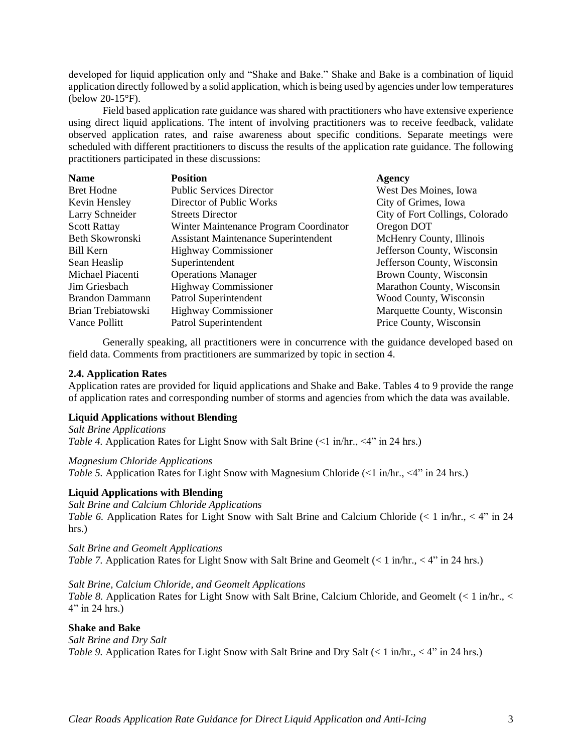developed for liquid application only and "Shake and Bake." Shake and Bake is a combination of liquid application directly followed by a solid application, which is being used by agencies under low temperatures (below 20-15°F).

Field based application rate guidance was shared with practitioners who have extensive experience using direct liquid applications. The intent of involving practitioners was to receive feedback, validate observed application rates, and raise awareness about specific conditions. Separate meetings were scheduled with different practitioners to discuss the results of the application rate guidance. The following practitioners participated in these discussions:

| <b>Name</b>         | <b>Position</b>                             | <b>Agency</b>                   |
|---------------------|---------------------------------------------|---------------------------------|
| <b>Bret Hodne</b>   | <b>Public Services Director</b>             | West Des Moines, Iowa           |
| Kevin Hensley       | Director of Public Works                    | City of Grimes, Iowa            |
| Larry Schneider     | <b>Streets Director</b>                     | City of Fort Collings, Colorado |
| <b>Scott Rattay</b> | Winter Maintenance Program Coordinator      | Oregon DOT                      |
| Beth Skowronski     | <b>Assistant Maintenance Superintendent</b> | McHenry County, Illinois        |
| Bill Kern           | <b>Highway Commissioner</b>                 | Jefferson County, Wisconsin     |
| Sean Heaslip        | Superintendent                              | Jefferson County, Wisconsin     |
| Michael Piacenti    | <b>Operations Manager</b>                   | Brown County, Wisconsin         |
| Jim Griesbach       | <b>Highway Commissioner</b>                 | Marathon County, Wisconsin      |
| Brandon Dammann     | Patrol Superintendent                       | Wood County, Wisconsin          |
| Brian Trebiatowski  | <b>Highway Commissioner</b>                 | Marquette County, Wisconsin     |
| Vance Pollitt       | Patrol Superintendent                       | Price County, Wisconsin         |

Generally speaking, all practitioners were in concurrence with the guidance developed based on field data. Comments from practitioners are summarized by topic in section 4.

#### **2.4. Application Rates**

Application rates are provided for liquid applications and Shake and Bake. Tables 4 to 9 provide the range of application rates and corresponding number of storms and agencies from which the data was available.

#### **Liquid Applications without Blending**

*Salt Brine Applications Table 4.* Application Rates for Light Snow with Salt Brine (<1 in/hr., <4" in 24 hrs.)

#### *Magnesium Chloride Applications*

*Table 5.* Application Rates for Light Snow with Magnesium Chloride (<1 in/hr., <4" in 24 hrs.)

#### **Liquid Applications with Blending**

*Salt Brine and Calcium Chloride Applications*

*Table 6.* Application Rates for Light Snow with Salt Brine and Calcium Chloride  $\langle \langle 1 \text{ in/hr.} \rangle \langle 4 \rangle$  in 24 hrs.)

*Salt Brine and Geomelt Applications Table 7.* Application Rates for Light Snow with Salt Brine and Geomelt (< 1 in/hr., < 4" in 24 hrs.)

#### *Salt Brine, Calcium Chloride, and Geomelt Applications*

*Table 8.* Application Rates for Light Snow with Salt Brine, Calcium Chloride, and Geomelt (< 1 in/hr., <  $4"$  in 24 hrs.)

#### **Shake and Bake**

*Salt Brine and Dry Salt Table 9.* Application Rates for Light Snow with Salt Brine and Dry Salt (< 1 in/hr., < 4" in 24 hrs.)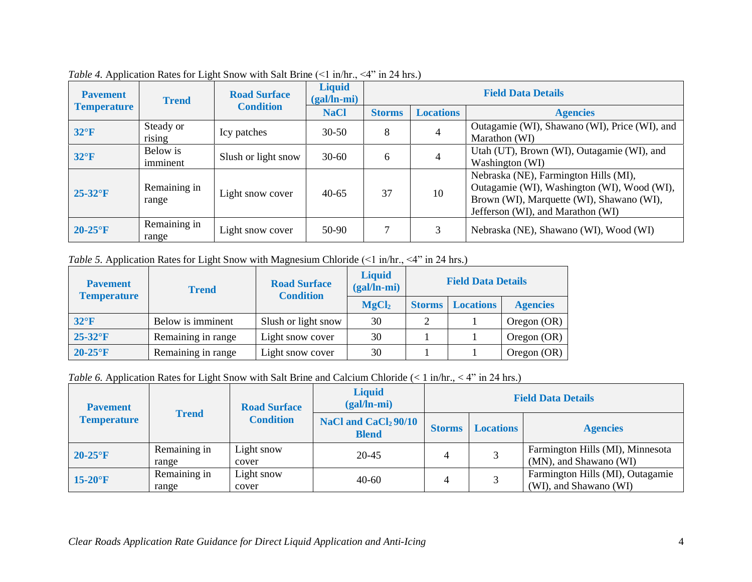| <b>Pavement</b>        | <b>Trend</b>          | <b>Road Surface</b> | <b>Liquid</b><br>$(gal/n-mi)$ | <b>Field Data Details</b> |                  |                                                                                                                                                                        |  |
|------------------------|-----------------------|---------------------|-------------------------------|---------------------------|------------------|------------------------------------------------------------------------------------------------------------------------------------------------------------------------|--|
| <b>Temperature</b>     |                       | <b>Condition</b>    | <b>NaCl</b>                   | <b>Storms</b>             | <b>Locations</b> | <b>Agencies</b>                                                                                                                                                        |  |
| $32^{\circ}F$          | Steady or<br>rising   | Icy patches         | $30-50$                       | 8                         |                  | Outagamie (WI), Shawano (WI), Price (WI), and<br>Marathon (WI)                                                                                                         |  |
| $32^{\circ}F$          | Below is<br>imminent  | Slush or light snow | $30 - 60$                     | 6                         |                  | Utah (UT), Brown (WI), Outagamie (WI), and<br>Washington (WI)                                                                                                          |  |
| $25-32$ <sup>o</sup> F | Remaining in<br>range | Light snow cover    | $40 - 65$                     | 37                        | 10               | Nebraska (NE), Farmington Hills (MI),<br>Outagamie (WI), Washington (WI), Wood (WI),<br>Brown (WI), Marquette (WI), Shawano (WI),<br>Jefferson (WI), and Marathon (WI) |  |
| $20-25$ °F             | Remaining in<br>range | Light snow cover    | 50-90                         |                           | 3                | Nebraska (NE), Shawano (WI), Wood (WI)                                                                                                                                 |  |

*Table 4.* Application Rates for Light Snow with Salt Brine (<1 in/hr., <4" in 24 hrs.)

*Table 5.* Application Rates for Light Snow with Magnesium Chloride (<1 in/hr., <4" in 24 hrs.)

| <b>Pavement</b><br><b>Temperature</b> | <b>Trend</b>       | <b>Road Surface</b><br><b>Condition</b> | <b>Liquid</b><br>$(gal/ln-mi)$ | <b>Field Data Details</b> |                  |                 |
|---------------------------------------|--------------------|-----------------------------------------|--------------------------------|---------------------------|------------------|-----------------|
|                                       |                    |                                         | MgCl <sub>2</sub>              | <b>Storms</b>             | <b>Locations</b> | <b>Agencies</b> |
| $32^{\circ}F$                         | Below is imminent  | Slush or light snow                     | 30                             | $\overline{2}$            |                  | Oregon (OR)     |
| $25-32$ <sup>o</sup> F                | Remaining in range | Light snow cover                        | 30                             |                           |                  | Oregon (OR)     |
| $20-25$ <sup>o</sup> F                | Remaining in range | Light snow cover                        | 30                             |                           |                  | Oregon (OR)     |

*Table 6.* Application Rates for Light Snow with Salt Brine and Calcium Chloride (< 1 in/hr., < 4" in 24 hrs.)

| <b>Pavement</b>        |                                                  | <b>Road Surface</b> | <b>Liquid</b><br>$(gal/ln-mi)$   |               |                  | <b>Field Data Details</b>                                  |  |  |
|------------------------|--------------------------------------------------|---------------------|----------------------------------|---------------|------------------|------------------------------------------------------------|--|--|
| <b>Temperature</b>     | <b>Trend</b><br><b>Condition</b><br><b>Blend</b> |                     | NaCl and CaCl <sub>2</sub> 90/10 | <b>Storms</b> | <b>Locations</b> | <b>Agencies</b>                                            |  |  |
| $20-25$ <sup>o</sup> F | Remaining in<br>range                            | Light snow<br>cover | $20 - 45$                        |               |                  | Farmington Hills (MI), Minnesota<br>(MN), and Shawano (WI) |  |  |
| $15-20$ <sup>o</sup> F | Remaining in<br>range                            | Light snow<br>cover | $40-60$                          |               |                  | Farmington Hills (MI), Outagamie<br>(WI), and Shawano (WI) |  |  |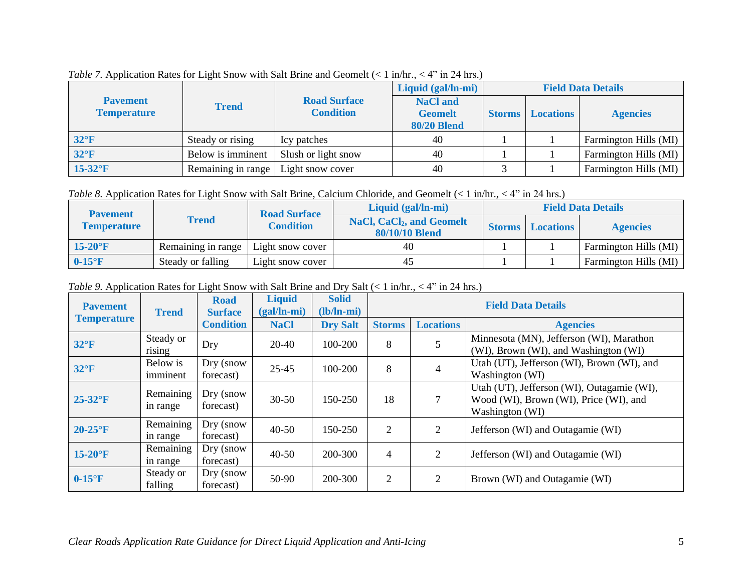|                                       |                    |                                         | Liquid (gal/ln-mi)                                      | <b>Field Data Details</b> |                  |                       |  |
|---------------------------------------|--------------------|-----------------------------------------|---------------------------------------------------------|---------------------------|------------------|-----------------------|--|
| <b>Pavement</b><br><b>Temperature</b> | <b>Trend</b>       | <b>Road Surface</b><br><b>Condition</b> | <b>NaCl and</b><br><b>Geomelt</b><br><b>80/20 Blend</b> | <b>Storms</b>             | <b>Locations</b> | <b>Agencies</b>       |  |
| $32^{\circ}F$                         | Steady or rising   | Icy patches                             | 40                                                      |                           |                  | Farmington Hills (MI) |  |
| $32^{\circ}F$                         | Below is imminent  | Slush or light snow                     | 40                                                      |                           |                  | Farmington Hills (MI) |  |
| $15-32$ <sup>o</sup> F                | Remaining in range | Light snow cover                        | 40                                                      |                           |                  | Farmington Hills (MI) |  |

*Table 7.* Application Rates for Light Snow with Salt Brine and Geomelt (< 1 in/hr., < 4" in 24 hrs.)

*Table 8.* Application Rates for Light Snow with Salt Brine, Calcium Chloride, and Geomelt (< 1 in/hr., < 4" in 24 hrs.)

| <b>Pavement</b>        |                    | <b>Road Surface</b> | Liquid (gal/ln-mi)                                           | <b>Field Data Details</b> |                  |                       |  |
|------------------------|--------------------|---------------------|--------------------------------------------------------------|---------------------------|------------------|-----------------------|--|
| <b>Temperature</b>     | Trend              |                     | <b>NaCl, CaCl<sub>2</sub>, and Geomelt</b><br>80/10/10 Blend | <b>Storms</b>             | <b>Locations</b> | <b>Agencies</b>       |  |
| $15-20$ <sup>o</sup> F | Remaining in range | Light snow cover    | 40                                                           |                           |                  | Farmington Hills (MI) |  |
| $0-15$ <sup>o</sup> F  | Steady or falling  | Light snow cover    |                                                              |                           |                  | Farmington Hills (MI) |  |

*Table 9.* Application Rates for Light Snow with Salt Brine and Dry Salt (< 1 in/hr., < 4" in 24 hrs.)

| <b>Pavement</b>        | <b>Trend</b>          | <b>Road</b><br><b>Surface</b> | <b>Liquid</b><br>$(gal/ln-mi)$ | <b>Solid</b><br>$(lb/ln-mi)$ | <b>Field Data Details</b> |                  |                                                                                                         |  |
|------------------------|-----------------------|-------------------------------|--------------------------------|------------------------------|---------------------------|------------------|---------------------------------------------------------------------------------------------------------|--|
| <b>Temperature</b>     |                       | <b>Condition</b>              | <b>NaCl</b>                    | <b>Dry Salt</b>              | <b>Storms</b>             | <b>Locations</b> | <b>Agencies</b>                                                                                         |  |
| $32^{\circ}F$          | Steady or<br>rising   | Dry                           | $20 - 40$                      | 100-200                      | 8                         | 5                | Minnesota (MN), Jefferson (WI), Marathon<br>(WI), Brown (WI), and Washington (WI)                       |  |
| $32^{\circ}F$          | Below is<br>imminent  | Dry (snow<br>forecast)        | $25 - 45$                      | 100-200                      | 8                         | 4                | Utah (UT), Jefferson (WI), Brown (WI), and<br>Washington (WI)                                           |  |
| $25-32$ <sup>o</sup> F | Remaining<br>in range | Dry (snow<br>forecast)        | $30 - 50$                      | 150-250                      | 18                        | 7                | Utah (UT), Jefferson (WI), Outagamie (WI),<br>Wood (WI), Brown (WI), Price (WI), and<br>Washington (WI) |  |
| $20-25$ °F             | Remaining<br>in range | Dry (snow<br>forecast)        | $40 - 50$                      | 150-250                      | 2                         | 2                | Jefferson (WI) and Outagamie (WI)                                                                       |  |
| $15-20$ <sup>o</sup> F | Remaining<br>in range | Dry (snow<br>forecast)        | $40 - 50$                      | 200-300                      | $\overline{4}$            | $\overline{2}$   | Jefferson (WI) and Outagamie (WI)                                                                       |  |
| $0-15$ <sup>o</sup> F  | Steady or<br>falling  | Dry (snow<br>forecast)        | 50-90                          | 200-300                      | 2                         | 2                | Brown (WI) and Outagamie (WI)                                                                           |  |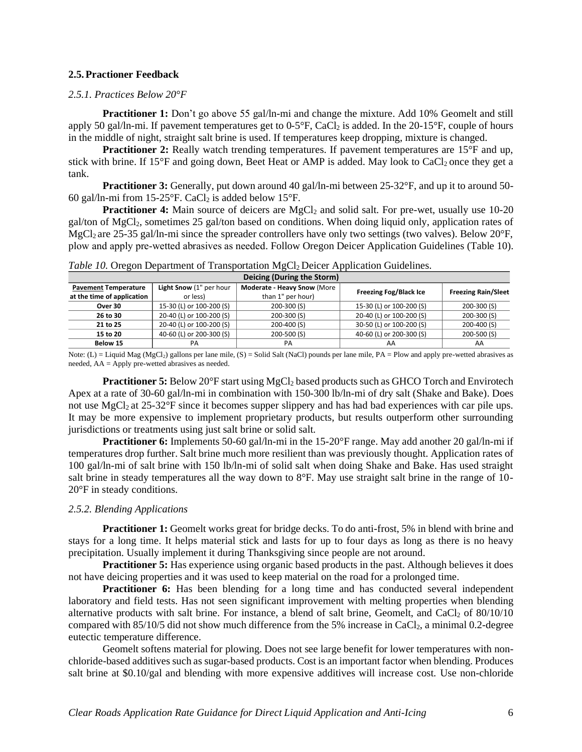#### **2.5.Practioner Feedback**

#### *2.5.1. Practices Below 20°F*

**Practitioner 1:** Don't go above 55 gal/ln-mi and change the mixture. Add 10% Geomelt and still apply 50 gal/ln-mi. If pavement temperatures get to  $0-5^\circ F$ , CaCl<sub>2</sub> is added. In the 20-15°F, couple of hours in the middle of night, straight salt brine is used. If temperatures keep dropping, mixture is changed.

**Practitioner 2:** Really watch trending temperatures. If pavement temperatures are 15°F and up, stick with brine. If 15 $\degree$ F and going down, Beet Heat or AMP is added. May look to CaCl<sub>2</sub> once they get a tank.

**Practitioner 3:** Generally, put down around 40 gal/ln-mi between 25-32°F, and up it to around 50-60 gal/ln-mi from 15-25 $\mathrm{F}$ . CaCl<sub>2</sub> is added below 15 $\mathrm{F}$ .

**Practitioner 4:** Main source of deicers are MgCl<sub>2</sub> and solid salt. For pre-wet, usually use 10-20 gal/ton of MgCl2, sometimes 25 gal/ton based on conditions. When doing liquid only, application rates of MgCl<sub>2</sub> are 25-35 gal/ln-mi since the spreader controllers have only two settings (two valves). Below 20°F, plow and apply pre‐wetted abrasives as needed. Follow Oregon Deicer Application Guidelines (Table 10).

| Deicing (During the Storm)  |                          |                                    |                               |                            |  |  |  |  |  |
|-----------------------------|--------------------------|------------------------------------|-------------------------------|----------------------------|--|--|--|--|--|
| <b>Pavement Temperature</b> | Light Snow (1" per hour  | <b>Moderate - Heavy Snow (More</b> | <b>Freezing Fog/Black Ice</b> | <b>Freezing Rain/Sleet</b> |  |  |  |  |  |
| at the time of application  | or less)                 | than 1" per hour)                  |                               |                            |  |  |  |  |  |
| Over 30                     | 15-30 (L) or 100-200 (S) | 200-300 (S)                        | 15-30 (L) or 100-200 (S)      | 200-300 (S)                |  |  |  |  |  |
| 26 to 30                    | 20-40 (L) or 100-200 (S) | 200-300 (S)                        | 20-40 (L) or 100-200 (S)      | $200 - 300$ (S)            |  |  |  |  |  |
| 21 to 25                    | 20-40 (L) or 100-200 (S) | 200-400 (S)                        | 30-50 (L) or 100-200 (S)      | 200-400 (S)                |  |  |  |  |  |
| 15 to 20                    | 40-60 (L) or 200-300 (S) | 200-500 (S)                        | 40-60 (L) or 200-300 (S)      | 200-500 (S)                |  |  |  |  |  |
| Below 15                    | PА                       | PA                                 | AA                            | AA                         |  |  |  |  |  |

*Table 10.* Oregon Department of Transportation MgCl<sub>2</sub> Deicer Application Guidelines.

Note:  $(L) = Liquid Mag (MgCl<sub>2</sub>)$  gallons per lane mile,  $(S) = Solid Salt (NaCl)$  pounds per lane mile,  $PA = Plow$  and apply pre-wetted abrasives as needed, AA = Apply pre-wetted abrasives as needed.

**Practitioner 5:** Below 20°F start using MgCl<sub>2</sub> based products such as GHCO Torch and Envirotech Apex at a rate of 30-60 gal/ln-mi in combination with 150-300 lb/ln-mi of dry salt (Shake and Bake). Does not use MgCl<sub>2</sub> at 25-32°F since it becomes supper slippery and has had bad experiences with car pile ups. It may be more expensive to implement proprietary products, but results outperform other surrounding jurisdictions or treatments using just salt brine or solid salt.

**Practitioner 6:** Implements 50-60 gal/ln-mi in the 15-20°F range. May add another 20 gal/ln-mi if temperatures drop further. Salt brine much more resilient than was previously thought. Application rates of 100 gal/ln-mi of salt brine with 150 lb/ln-mi of solid salt when doing Shake and Bake. Has used straight salt brine in steady temperatures all the way down to  $8^{\circ}$ F. May use straight salt brine in the range of 10-20°F in steady conditions.

#### *2.5.2. Blending Applications*

**Practitioner 1:** Geomelt works great for bridge decks. To do anti-frost, 5% in blend with brine and stays for a long time. It helps material stick and lasts for up to four days as long as there is no heavy precipitation. Usually implement it during Thanksgiving since people are not around.

**Practitioner 5:** Has experience using organic based products in the past. Although believes it does not have deicing properties and it was used to keep material on the road for a prolonged time.

**Practitioner 6:** Has been blending for a long time and has conducted several independent laboratory and field tests. Has not seen significant improvement with melting properties when blending alternative products with salt brine. For instance, a blend of salt brine, Geomelt, and CaCl<sub>2</sub> of  $80/10/10$ compared with  $85/10/5$  did not show much difference from the 5% increase in CaCl<sub>2</sub>, a minimal 0.2-degree eutectic temperature difference.

Geomelt softens material for plowing. Does not see large benefit for lower temperatures with nonchloride-based additives such as sugar-based products. Cost is an important factor when blending. Produces salt brine at \$0.10/gal and blending with more expensive additives will increase cost. Use non-chloride